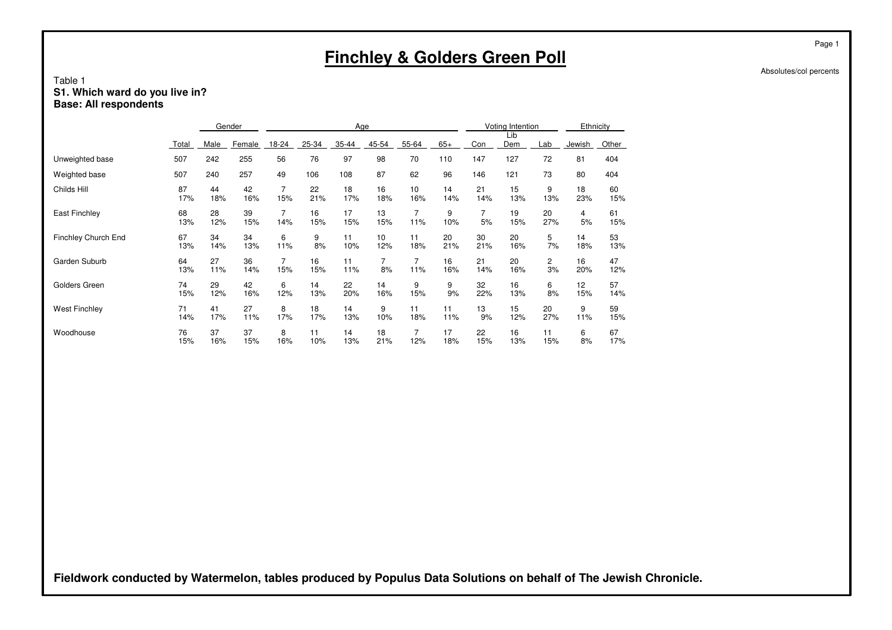## Table 1**S1. Which ward do you live in? Base: All respondents**

|                      |           |           | Gender    |          |           | Age       |                      |           |           |           | Voting Intention |                      | Ethnicity              |           |
|----------------------|-----------|-----------|-----------|----------|-----------|-----------|----------------------|-----------|-----------|-----------|------------------|----------------------|------------------------|-----------|
|                      | Total     | Male      | Female    | 18-24    | 25-34     | 35-44     | 45-54                | 55-64     | $65+$     | Con       | Lib<br>Dem       | Lab                  | Jewish                 | Other     |
| Unweighted base      | 507       | 242       | 255       | 56       | 76        | 97        | 98                   | 70        | 110       | 147       | 127              | 72                   | 81                     | 404       |
| Weighted base        | 507       | 240       | 257       | 49       | 106       | 108       | 87                   | 62        | 96        | 146       | 121              | 73                   | 80                     | 404       |
| Childs Hill          | 87<br>17% | 44<br>18% | 42<br>16% | 7<br>15% | 22<br>21% | 18<br>17% | 16<br>18%            | 10<br>16% | 14<br>14% | 21<br>14% | 15<br>13%        | 9<br>13%             | 18<br>23%              | 60<br>15% |
| <b>East Finchley</b> | 68<br>13% | 28<br>12% | 39<br>15% | 7<br>14% | 16<br>15% | 17<br>15% | 13<br>15%            | 11%       | 9<br>10%  | 7<br>5%   | 19<br>15%        | 20<br>27%            | 4<br>5%                | 61<br>15% |
| Finchley Church End  | 67<br>13% | 34<br>14% | 34<br>13% | 6<br>11% | 9<br>8%   | 11<br>10% | 10<br>12%            | 11<br>18% | 20<br>21% | 30<br>21% | 20<br>16%        | 5<br>7%              | 14<br>18%              | 53<br>13% |
| Garden Suburb        | 64<br>13% | 27<br>11% | 36<br>14% | 7<br>15% | 16<br>15% | 11<br>11% | $\overline{7}$<br>8% | 11%       | 16<br>16% | 21<br>14% | 20<br>16%        | $\overline{2}$<br>3% | 16<br>20%              | 47<br>12% |
| Golders Green        | 74<br>15% | 29<br>12% | 42<br>16% | 6<br>12% | 14<br>13% | 22<br>20% | 14<br>16%            | 9<br>15%  | 9<br>9%   | 32<br>22% | 16<br>13%        | 6<br>8%              | 12 <sup>2</sup><br>15% | 57<br>14% |
| <b>West Finchley</b> | 71<br>14% | 41<br>17% | 27<br>11% | 8<br>17% | 18<br>17% | 14<br>13% | 9<br>10%             | 11<br>18% | 11<br>11% | 13<br>9%  | 15<br>12%        | 20<br>27%            | 9<br>11%               | 59<br>15% |
| Woodhouse            | 76<br>15% | 37<br>16% | 37<br>15% | 8<br>16% | 11<br>10% | 14<br>13% | 18<br>21%            | 7<br>12%  | 17<br>18% | 22<br>15% | 16<br>13%        | 11<br>15%            | 6<br>8%                | 67<br>17% |

**Fieldwork conducted by Watermelon, tables produced by Populus Data Solutions on behalf of The Jewish Chronicle.**

Page 1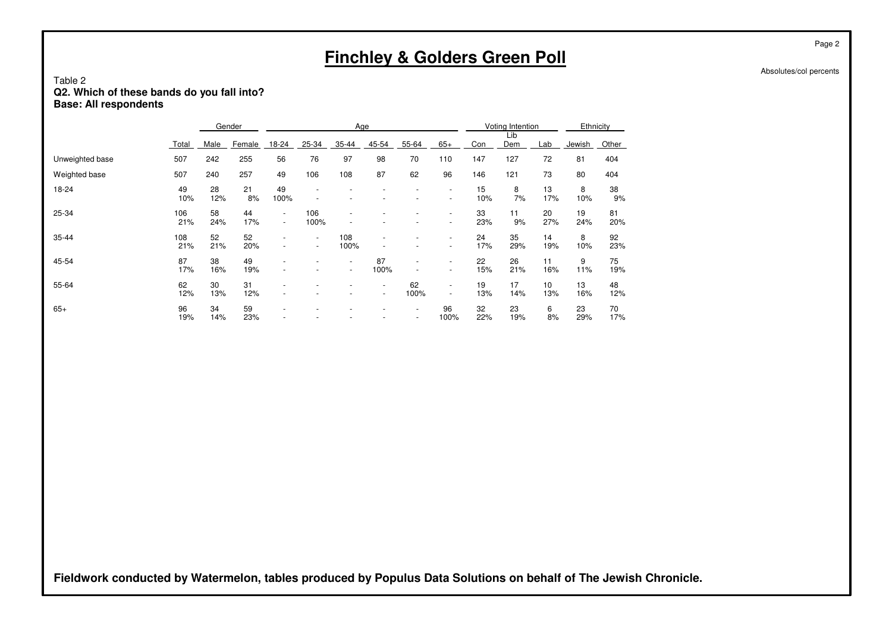## Table 2**Q2. Which of these bands do you fall into? Base: All respondents**

|                 |            |           | Gender    |                                                      |                                                      | Age                                                  |                          |                          |                                                      |           | Voting Intention |                         |           | Ethnicity |
|-----------------|------------|-----------|-----------|------------------------------------------------------|------------------------------------------------------|------------------------------------------------------|--------------------------|--------------------------|------------------------------------------------------|-----------|------------------|-------------------------|-----------|-----------|
|                 | Total      | Male      | Female    | 18-24                                                | 25-34                                                | 35-44                                                | 45-54                    | 55-64                    | $65+$                                                | Con       | Lib<br>Dem       | Lab                     | Jewish    | Other     |
| Unweighted base | 507        | 242       | 255       | 56                                                   | 76                                                   | 97                                                   | 98                       | 70                       | 110                                                  | 147       | 127              | 72                      | 81        | 404       |
| Weighted base   | 507        | 240       | 257       | 49                                                   | 106                                                  | 108                                                  | 87                       | 62                       | 96                                                   | 146       | 121              | 73                      | 80        | 404       |
| 18-24           | 49<br>10%  | 28<br>12% | 21<br>8%  | 49<br>100%                                           | $\overline{\phantom{a}}$                             |                                                      |                          |                          | $\overline{\phantom{a}}$<br>$\overline{\phantom{a}}$ | 15<br>10% | 8<br>7%          | 13<br>17%               | 8<br>10%  | 38<br>9%  |
| 25-34           | 106<br>21% | 58<br>24% | 44<br>17% | $\overline{\phantom{a}}$<br>$\overline{\phantom{a}}$ | 106<br>100%                                          |                                                      |                          |                          | $\overline{\phantom{a}}$<br>$\overline{\phantom{a}}$ | 33<br>23% | 11<br>9%         | 20<br>27%               | 19<br>24% | 81<br>20% |
| 35-44           | 108<br>21% | 52<br>21% | 52<br>20% | $\overline{\phantom{a}}$                             | $\overline{\phantom{a}}$<br>$\overline{\phantom{a}}$ | 108<br>100%                                          |                          |                          | $\overline{\phantom{a}}$<br>$\overline{\phantom{a}}$ | 24<br>17% | 35<br>29%        | 14<br>19%               | 8<br>10%  | 92<br>23% |
| 45-54           | 87<br>17%  | 38<br>16% | 49<br>19% | $\overline{\phantom{a}}$                             |                                                      | $\overline{\phantom{a}}$<br>$\overline{\phantom{a}}$ | 87<br>100%               |                          | $\overline{\phantom{a}}$<br>$\overline{\phantom{a}}$ | 22<br>15% | 26<br>21%        | 11<br>16%               | 9<br>11%  | 75<br>19% |
| 55-64           | 62<br>12%  | 30<br>13% | 31<br>12% |                                                      |                                                      |                                                      | $\overline{\phantom{a}}$ | 62<br>100%               | $\overline{\phantom{a}}$<br>٠                        | 19<br>13% | 17<br>14%        | 10 <sup>10</sup><br>13% | 13<br>16% | 48<br>12% |
| $65+$           | 96<br>19%  | 34<br>14% | 59<br>23% | $\overline{\phantom{a}}$                             |                                                      |                                                      |                          | $\overline{\phantom{a}}$ | 96<br>100%                                           | 32<br>22% | 23<br>19%        | 6<br>8%                 | 23<br>29% | 70<br>17% |

**Fieldwork conducted by Watermelon, tables produced by Populus Data Solutions on behalf of The Jewish Chronicle.**

Page 2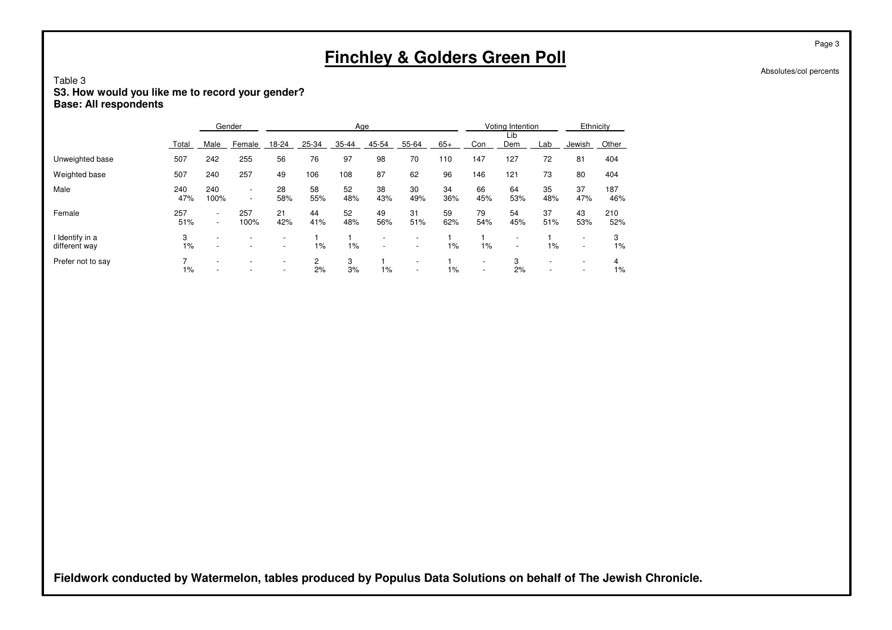## Table 3**S3. How would you like me to record your gender? Base: All respondents**

|                                  |            |                                                      | Gender                                               |                                                      |           | Age       |                                                      |                               |           |                                                      | Voting Intention                                     |           | Ethnicity                                            |            |
|----------------------------------|------------|------------------------------------------------------|------------------------------------------------------|------------------------------------------------------|-----------|-----------|------------------------------------------------------|-------------------------------|-----------|------------------------------------------------------|------------------------------------------------------|-----------|------------------------------------------------------|------------|
|                                  | Total      | Male                                                 | Female                                               | 18-24                                                | 25-34     | 35-44     | 45-54                                                | 55-64                         | $65+$     | Con                                                  | Lib<br>Dem                                           | Lab       | Jewish                                               | Other      |
| Unweighted base                  | 507        | 242                                                  | 255                                                  | 56                                                   | 76        | 97        | 98                                                   | 70                            | 110       | 147                                                  | 127                                                  | 72        | 81                                                   | 404        |
| Weighted base                    | 507        | 240                                                  | 257                                                  | 49                                                   | 106       | 108       | 87                                                   | 62                            | 96        | 146                                                  | 121                                                  | 73        | 80                                                   | 404        |
| Male                             | 240<br>47% | 240<br>100%                                          | $\overline{\phantom{a}}$<br>$\overline{\phantom{a}}$ | 28<br>58%                                            | 58<br>55% | 52<br>48% | 38<br>43%                                            | 30<br>49%                     | 34<br>36% | 66<br>45%                                            | 64<br>53%                                            | 35<br>48% | 37<br>47%                                            | 187<br>46% |
| Female                           | 257<br>51% | $\overline{\phantom{a}}$<br>$\overline{\phantom{0}}$ | 257<br>100%                                          | 21<br>42%                                            | 44<br>41% | 52<br>48% | 49<br>56%                                            | 31<br>51%                     | 59<br>62% | 79<br>54%                                            | 54<br>45%                                            | 37<br>51% | 43<br>53%                                            | 210<br>52% |
| I Identify in a<br>different way | 3<br>1%    | ٠                                                    | ۰                                                    | $\overline{\phantom{a}}$<br>$\overline{\phantom{a}}$ | 1%        | 1%        | $\overline{\phantom{a}}$<br>$\overline{\phantom{a}}$ | -<br>$\overline{\phantom{a}}$ | 1%        | 1%                                                   | $\overline{\phantom{a}}$<br>$\overline{\phantom{a}}$ | 1%        | $\overline{\phantom{0}}$<br>$\overline{\phantom{a}}$ | 3<br>1%    |
| Prefer not to say                | $1\%$      | -                                                    | ۰                                                    | $\overline{\phantom{a}}$<br>$\overline{\phantom{a}}$ | 2<br>2%   | 3<br>3%   | $1\%$                                                | ۰<br>$\overline{\phantom{a}}$ | 1%        | $\overline{\phantom{a}}$<br>$\overline{\phantom{a}}$ | 3<br>2%                                              |           | $\overline{\phantom{0}}$<br>$\overline{\phantom{0}}$ | 4<br>1%    |

**Fieldwork conducted by Watermelon, tables produced by Populus Data Solutions on behalf of The Jewish Chronicle.**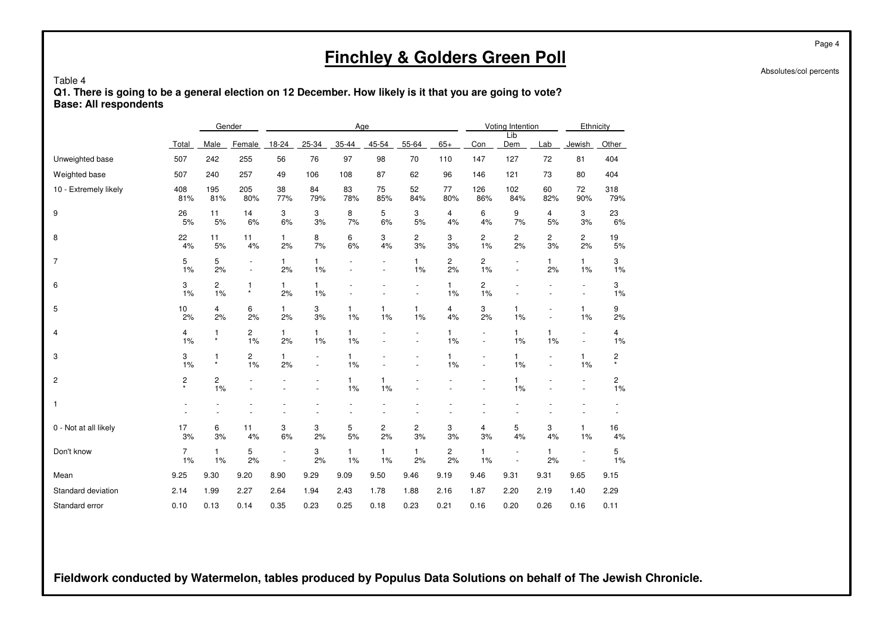Absolutes/col percents

#### Table 4 **Q1. There is going to be a general election on 12 December. How likely is it that you are going to vote?Base: All respondents**

|                       |               |                    | Gender                        |                    |           | Age                |                    |                    |                    |                                            | Voting Intention            |                          | Ethnicity            |                      |
|-----------------------|---------------|--------------------|-------------------------------|--------------------|-----------|--------------------|--------------------|--------------------|--------------------|--------------------------------------------|-----------------------------|--------------------------|----------------------|----------------------|
|                       | Total         | Male               | Female                        | 18-24              | 25-34     | 35-44              | 45-54              | 55-64              | $65+$              | Con                                        | Lib<br>Dem                  | Lab                      | Jewish               | Other                |
| Unweighted base       | 507           | 242                | 255                           | 56                 | 76        | 97                 | 98                 | 70                 | 110                | 147                                        | 127                         | 72                       | 81                   | 404                  |
| Weighted base         | 507           | 240                | 257                           | 49                 | 106       | 108                | 87                 | 62                 | 96                 | 146                                        | 121                         | 73                       | 80                   | 404                  |
| 10 - Extremely likely | 408<br>81%    | 195<br>81%         | 205<br>80%                    | 38<br>77%          | 84<br>79% | 83<br>78%          | 75<br>85%          | 52<br>84%          | 77<br>80%          | 126<br>86%                                 | 102<br>84%                  | 60<br>82%                | 72<br>90%            | 318<br>79%           |
| 9                     | 26<br>5%      | 11<br>5%           | 14<br>6%                      | 3<br>6%            | 3<br>3%   | 8<br>7%            | 5<br>6%            | 3<br>5%            | 4<br>4%            | 6<br>4%                                    | 9<br>7%                     | 4<br>5%                  | 3<br>3%              | 23<br>6%             |
| 8                     | 22<br>4%      | 11<br>5%           | 11<br>4%                      | $\mathbf{1}$<br>2% | 8<br>7%   | 6<br>6%            | 3<br>4%            | 2<br>3%            | 3<br>3%            | 2<br>1%                                    | $\mathbf{2}^{\prime}$<br>2% | 2<br>3%                  | $\overline{c}$<br>2% | 19<br>5%             |
| 7                     | 5<br>1%       | 5<br>2%            | $\overline{\phantom{a}}$      | $\mathbf{1}$<br>2% | 1<br>1%   |                    |                    | $\mathbf{1}$<br>1% | 2<br>2%            | $\overline{c}$<br>1%                       |                             | $\mathbf{1}$<br>2%       | $\mathbf{1}$<br>1%   | 3<br>1%              |
| 6                     | 3<br>1%       | 2<br>1%            | 1<br>$\star$                  | $\mathbf{1}$<br>2% | 1<br>1%   |                    |                    |                    | $\mathbf{1}$<br>1% | 2<br>1%                                    |                             |                          |                      | 3<br>1%              |
| 5                     | 10<br>2%      | 4<br>2%            | 6<br>2%                       | $\mathbf{1}$<br>2% | 3<br>3%   | 1<br>1%            | $\mathbf{1}$<br>1% | 1<br>1%            | 4<br>4%            | 3<br>2%                                    | 1<br>1%                     | $\overline{\phantom{a}}$ | 1<br>1%              | 9<br>2%              |
| 4                     | 4<br>1%       | 1<br>$\star$       | 2<br>1%                       | 1<br>2%            | 1<br>1%   | 1<br>1%            |                    |                    | 1<br>1%            | $\overline{\phantom{a}}$<br>$\overline{a}$ | $\mathbf{1}$<br>1%          | $\mathbf{1}$<br>1%       | $\sim$               | 4<br>1%              |
| 3                     | 3<br>1%       | 1<br>$\star$       | $\overline{\mathbf{c}}$<br>1% | 1<br>2%            | $\bar{a}$ | 1<br>1%            |                    |                    | 1<br>1%            | ÷,<br>$\overline{\phantom{a}}$             | $\mathbf{1}$<br>1%          | $\overline{\phantom{a}}$ | 1<br>1%              | 2<br>$\star$         |
| 2                     | $\frac{2}{x}$ | 2<br>1%            |                               |                    |           | $\mathbf{1}$<br>1% | $\mathbf{1}$<br>1% |                    |                    | ÷,                                         | $\mathbf{1}$<br>1%          |                          |                      | 2<br>$\frac{1}{1}$ % |
| 1                     |               |                    |                               |                    |           |                    |                    |                    |                    |                                            |                             |                          |                      |                      |
| 0 - Not at all likely | 17<br>3%      | 6<br>3%            | 11<br>4%                      | 3<br>6%            | 3<br>2%   | 5<br>5%            | 2<br>2%            | 2<br>3%            | 3<br>3%            | 4<br>3%                                    | 5<br>4%                     | 3<br>4%                  | $\mathbf{1}$<br>1%   | 16<br>4%             |
| Don't know            | 7<br>1%       | $\mathbf{1}$<br>1% | 5<br>2%                       | $\sim$             | 3<br>2%   | $\mathbf{1}$<br>1% | $\mathbf{1}$<br>1% | $\mathbf{1}$<br>2% | 2<br>2%            | 1<br>1%                                    |                             | $\mathbf{1}$<br>2%       |                      | 5<br>1%              |
| Mean                  | 9.25          | 9.30               | 9.20                          | 8.90               | 9.29      | 9.09               | 9.50               | 9.46               | 9.19               | 9.46                                       | 9.31                        | 9.31                     | 9.65                 | 9.15                 |
| Standard deviation    | 2.14          | 1.99               | 2.27                          | 2.64               | 1.94      | 2.43               | 1.78               | 1.88               | 2.16               | 1.87                                       | 2.20                        | 2.19                     | 1.40                 | 2.29                 |
| Standard error        | 0.10          | 0.13               | 0.14                          | 0.35               | 0.23      | 0.25               | 0.18               | 0.23               | 0.21               | 0.16                                       | 0.20                        | 0.26                     | 0.16                 | 0.11                 |

**Fieldwork conducted by Watermelon, tables produced by Populus Data Solutions on behalf of The Jewish Chronicle.**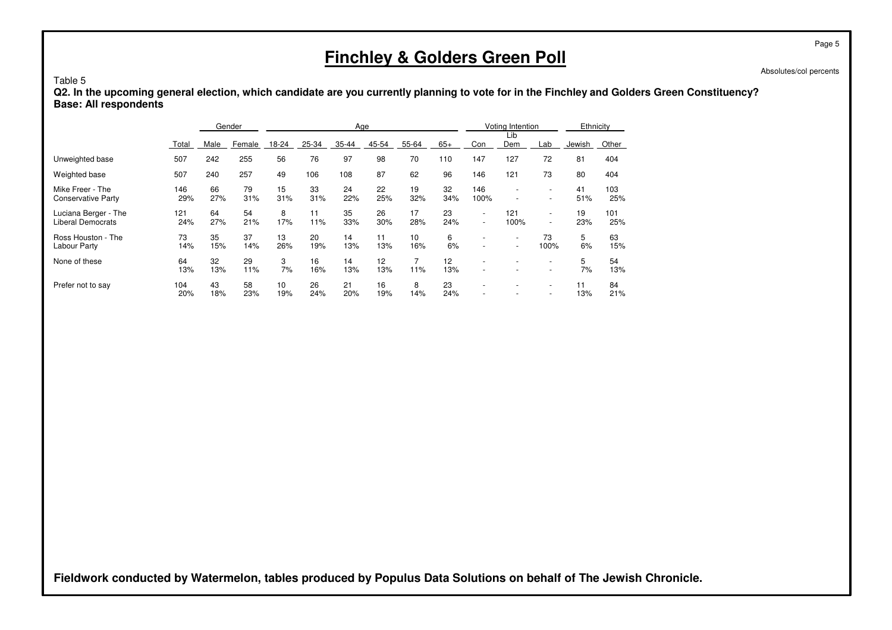#### Table 5

 **Q2. In the upcoming general election, which candidate are you currently planning to vote for in the Finchley and Golders Green Constituency?Base: All respondents**

|                                                  |            |           | Gender    |           |           | Age       |                        |           |           |                                                      | Voting Intention                                     |                          | Ethnicity |            |
|--------------------------------------------------|------------|-----------|-----------|-----------|-----------|-----------|------------------------|-----------|-----------|------------------------------------------------------|------------------------------------------------------|--------------------------|-----------|------------|
|                                                  | Total      | Male      | Female    | 18-24     | 25-34     | 35-44     | 45-54                  | 55-64     | $65+$     | Con                                                  | Lib<br>Dem                                           | Lab                      | Jewish    | Other      |
| Unweighted base                                  | 507        | 242       | 255       | 56        | 76        | 97        | 98                     | 70        | 110       | 147                                                  | 127                                                  | 72                       | 81        | 404        |
| Weighted base                                    | 507        | 240       | 257       | 49        | 106       | 108       | 87                     | 62        | 96        | 146                                                  | 121                                                  | 73                       | 80        | 404        |
| Mike Freer - The<br><b>Conservative Party</b>    | 146<br>29% | 66<br>27% | 79<br>31% | 15<br>31% | 33<br>31% | 24<br>22% | 22<br>25%              | 19<br>32% | 32<br>34% | 146<br>100%                                          | $\overline{\phantom{a}}$                             | $\overline{\phantom{a}}$ | 41<br>51% | 103<br>25% |
| Luciana Berger - The<br><b>Liberal Democrats</b> | 121<br>24% | 64<br>27% | 54<br>21% | 8<br>17%  | 11<br>11% | 35<br>33% | 26<br>30%              | 17<br>28% | 23<br>24% | $\overline{\phantom{a}}$<br>$\overline{\phantom{a}}$ | 121<br>100%                                          | $\overline{\phantom{a}}$ | 19<br>23% | 101<br>25% |
| Ross Houston - The<br>Labour Party               | 73<br>14%  | 35<br>15% | 37<br>14% | 13<br>26% | 20<br>19% | 14<br>13% | 11<br>13%              | 10<br>16% | 6<br>6%   | $\overline{\phantom{a}}$<br>$\sim$                   | $\overline{\phantom{a}}$<br>$\overline{\phantom{a}}$ | 73<br>100%               | 5<br>6%   | 63<br>15%  |
| None of these                                    | 64<br>13%  | 32<br>13% | 29<br>11% | 3<br>7%   | 16<br>16% | 14<br>13% | 12 <sup>°</sup><br>13% | 11%       | 12<br>13% |                                                      |                                                      |                          | 5<br>7%   | 54<br>13%  |
| Prefer not to say                                | 104<br>20% | 43<br>18% | 58<br>23% | 10<br>19% | 26<br>24% | 21<br>20% | 16<br>19%              | 8<br>14%  | 23<br>24% |                                                      |                                                      |                          | 11<br>13% | 84<br>21%  |

**Fieldwork conducted by Watermelon, tables produced by Populus Data Solutions on behalf of The Jewish Chronicle.**

Page 5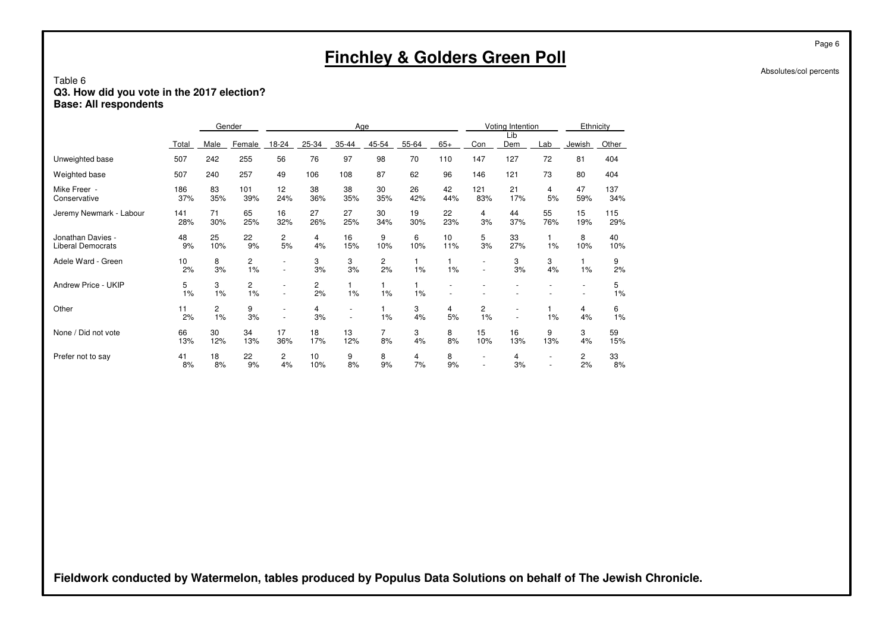## Table 6**Q3. How did you vote in the 2017 election? Base: All respondents**

|                                               |            |           | Gender               |                                                      |           | Age                           |           |           |                    |                               | Voting Intention |           | Ethnicity                                  |            |
|-----------------------------------------------|------------|-----------|----------------------|------------------------------------------------------|-----------|-------------------------------|-----------|-----------|--------------------|-------------------------------|------------------|-----------|--------------------------------------------|------------|
|                                               | Total      | Male      | Female               | 18-24                                                | 25-34     | 35-44                         | 45-54     | 55-64     | $65+$              | Con                           | Lib<br>Dem       | Lab       | Jewish                                     | Other      |
| Unweighted base                               | 507        | 242       | 255                  | 56                                                   | 76        | 97                            | 98        | 70        | 110                | 147                           | 127              | 72        | 81                                         | 404        |
| Weighted base                                 | 507        | 240       | 257                  | 49                                                   | 106       | 108                           | 87        | 62        | 96                 | 146                           | 121              | 73        | 80                                         | 404        |
| Mike Freer -<br>Conservative                  | 186<br>37% | 83<br>35% | 101<br>39%           | 12<br>24%                                            | 38<br>36% | 38<br>35%                     | 30<br>35% | 26<br>42% | 42<br>44%          | 121<br>83%                    | 21<br>17%        | 4<br>5%   | 47<br>59%                                  | 137<br>34% |
| Jeremy Newmark - Labour                       | 141<br>28% | 71<br>30% | 65<br>25%            | 16<br>32%                                            | 27<br>26% | 27<br>25%                     | 30<br>34% | 19<br>30% | 22<br>23%          | 4<br>3%                       | 44<br>37%        | 55<br>76% | 15<br>19%                                  | 115<br>29% |
| Jonathan Davies -<br><b>Liberal Democrats</b> | 48<br>9%   | 25<br>10% | 22<br>9%             | $\overline{\mathbf{c}}$<br>5%                        | 4<br>4%   | 16<br>15%                     | 9<br>10%  | 6<br>10%  | 10<br>11%          | 5<br>3%                       | 33<br>27%        | $1\%$     | 8<br>10%                                   | 40<br>10%  |
| Adele Ward - Green                            | 10<br>2%   | 8<br>3%   | $\overline{c}$<br>1% | $\overline{\phantom{a}}$                             | 3<br>3%   | 3<br>3%                       | 2<br>2%   | 1%        | $\mathbf{1}$<br>1% | $\overline{\phantom{a}}$      | 3<br>3%          | 3<br>4%   | 1%                                         | 9<br>2%    |
| Andrew Price - UKIP                           | 5<br>1%    | 3<br>1%   | 2<br>1%              | $\overline{\phantom{a}}$<br>$\overline{\phantom{a}}$ | 2<br>2%   | $\mathbf{1}$<br>1%            | 1%        | 1%        |                    |                               |                  |           | $\overline{\phantom{a}}$<br>$\overline{a}$ | 5<br>1%    |
| Other                                         | 11<br>2%   | 2<br>1%   | 9<br>3%              | $\overline{\phantom{a}}$                             | 4<br>3%   | ٠<br>$\overline{\phantom{a}}$ | 1%        | 3<br>4%   | 4<br>5%            | 2<br>1%                       |                  | $1\%$     | 4<br>4%                                    | 6<br>1%    |
| None / Did not vote                           | 66<br>13%  | 30<br>12% | 34<br>13%            | 17<br>36%                                            | 18<br>17% | 13<br>12%                     | 7<br>8%   | 3<br>4%   | 8<br>8%            | 15<br>10%                     | 16<br>13%        | 9<br>13%  | 3<br>4%                                    | 59<br>15%  |
| Prefer not to say                             | 41<br>8%   | 18<br>8%  | 22<br>9%             | 2<br>4%                                              | 10<br>10% | 9<br>8%                       | 8<br>9%   | 4<br>7%   | 8<br>9%            | $\overline{\phantom{a}}$<br>٠ | 4<br>3%          |           | 2<br>2%                                    | 33<br>8%   |

**Fieldwork conducted by Watermelon, tables produced by Populus Data Solutions on behalf of The Jewish Chronicle.**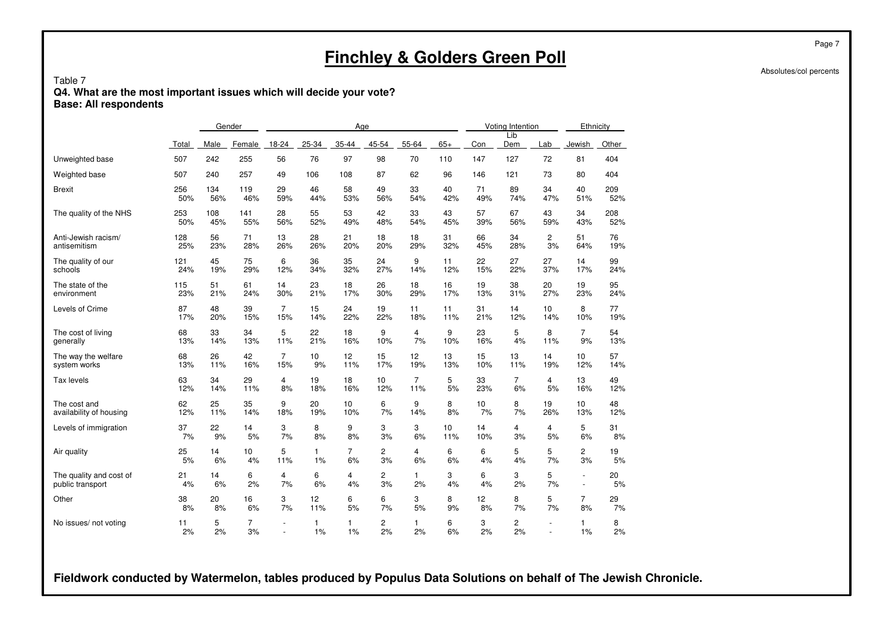#### Table 7

 **Q4. What are the most important issues which will decide your vote?Base: All respondents**

|                         |          |         | Gender               |                |              | Age                |                |                    |         |         | Voting Intention |                | Ethnicity      |            |
|-------------------------|----------|---------|----------------------|----------------|--------------|--------------------|----------------|--------------------|---------|---------|------------------|----------------|----------------|------------|
|                         | Total    | Male    | Female               | 18-24          | $25 - 34$    | 35-44              | 45-54          | 55-64              | $65+$   | Con     | Lib<br>Dem       | Lab            | Jewish         | Other      |
| Unweighted base         | 507      | 242     | 255                  | 56             | 76           | 97                 | 98             | 70                 | 110     | 147     | 127              | 72             | 81             | 404        |
| Weighted base           | 507      | 240     | 257                  | 49             | 106          | 108                | 87             | 62                 | 96      | 146     | 121              | 73             | 80             | 404        |
| <b>Brexit</b>           | 256      | 134     | 119                  | 29             | 46           | 58                 | 49             | 33                 | 40      | 71      | 89               | 34             | 40             | 209        |
|                         | 50%      | 56%     | 46%                  | 59%            | 44%          | 53%                | 56%            | 54%                | 42%     | 49%     | 74%              | 47%            | 51%            | 52%        |
| The quality of the NHS  | 253      | 108     | 141                  | 28             | 55           | 53                 | 42             | 33                 | 43      | 57      | 67               | 43             | 34             | 208        |
|                         | 50%      | 45%     | 55%                  | 56%            | 52%          | 49%                | 48%            | 54%                | 45%     | 39%     | 56%              | 59%            | 43%            | 52%        |
| Anti-Jewish racism/     | 128      | 56      | 71                   | 13             | 28           | 21                 | 18             | 18                 | 31      | 66      | 34               | $\overline{c}$ | 51             | 76         |
| antisemitism            | 25%      | 23%     | 28%                  | 26%            | 26%          | 20%                | 20%            | 29%                | 32%     | 45%     | 28%              | 3%             | 64%            | 19%        |
| The quality of our      | 121      | 45      | 75                   | 6              | 36           | 35                 | 24             | 9                  | 11      | 22      | 27               | 27             | 14             | 99         |
| schools                 | 24%      | 19%     | 29%                  | 12%            | 34%          | 32%                | 27%            | 14%                | 12%     | 15%     | 22%              | 37%            | 17%            | 24%        |
| The state of the        | 115      | 51      | 61                   | 14             | 23           | 18                 | 26             | 18                 | 16      | 19      | 38               | 20             | 19             | 95         |
| environment             | 23%      | 21%     | 24%                  | 30%            | 21%          | 17%                | 30%            | 29%                | 17%     | 13%     | 31%              | 27%            | 23%            | 24%        |
| Levels of Crime         | 87       | 48      | 39                   | $\overline{7}$ | 15           | 24                 | 19             | 11                 | 11      | 31      | 14               | 10             | 8              | 77         |
|                         | 17%      | 20%     | 15%                  | 15%            | 14%          | 22%                | 22%            | 18%                | 11%     | 21%     | 12%              | 14%            | 10%            | 19%        |
| The cost of living      | 68       | 33      | 34                   | 5              | 22           | 18                 | 9              | $\overline{4}$     | 9       | 23      | 5                | 8              | $\overline{7}$ | 54         |
| generally               | 13%      | 14%     | 13%                  | 11%            | 21%          | 16%                | 10%            | 7%                 | 10%     | 16%     | 4%               | 11%            | 9%             | 13%        |
| The way the welfare     | 68       | 26      | 42                   | $\overline{7}$ | 10           | 12                 | 15             | 12                 | 13      | 15      | 13               | 14             | 10             | 57         |
| system works            | 13%      | 11%     | 16%                  | 15%            | 9%           | 11%                | 17%            | 19%                | 13%     | 10%     | 11%              | 19%            | 12%            | 14%        |
| Tax levels              | 63       | 34      | 29                   | 4              | 19           | 18                 | 10             | 7                  | 5       | 33      | 7                | 4              | 13             | 49         |
|                         | 12%      | 14%     | 11%                  | 8%             | 18%          | 16%                | 12%            | 11%                | 5%      | 23%     | 6%               | 5%             | 16%            | 12%        |
| The cost and            | 62       | 25      | 35                   | 9              | 20           | 10                 | 6              | 9                  | 8       | 10      | 8                | 19             | 10             | 48         |
| availability of housing | 12%      | 11%     | 14%                  | 18%            | 19%          | 10%                | 7%             | 14%                | 8%      | 7%      | 7%               | 26%            | 13%            | <b>12%</b> |
| Levels of immigration   | 37       | 22      | 14                   | 3              | 8            | 9                  | 3              | 3                  | 10      | 14      | 4                | 4              | 5              | 31         |
|                         | 7%       | 9%      | 5%                   | 7%             | 8%           | 8%                 | 3%             | 6%                 | 11%     | 10%     | 3%               | 5%             | 6%             | 8%         |
| Air quality             | 25       | 14      | 10                   | 5              | $\mathbf{1}$ | $\overline{7}$     | 2              | $\overline{4}$     | 6       | 6       | 5                | 5              | $\overline{c}$ | 19         |
|                         | 5%       | 6%      | 4%                   | 11%            | 1%           | 6%                 | 3%             | 6%                 | 6%      | 4%      | 4%               | 7%             | 3%             | 5%         |
| The quality and cost of | 21       | 14      | 6                    | $\overline{4}$ | 6            | 4                  | $\overline{c}$ | $\mathbf{1}$       | 3       | 6       | 3                | 5              | $\blacksquare$ | 20         |
| public transport        | 4%       | 6%      | 2%                   | 7%             | 6%           | 4%                 | 3%             | 2%                 | 4%      | 4%      | 2%               | 7%             | $\overline{a}$ | 5%         |
| Other                   | 38       | 20      | 16                   | 3              | 12           | 6                  | 6              | 3                  | 8       | 12      | 8                | 5              | $\overline{7}$ | 29         |
|                         | 8%       | 8%      | 6%                   | 7%             | 11%          | 5%                 | 7%             | 5%                 | 9%      | 8%      | 7%               | 7%             | 8%             | 7%         |
| No issues/ not voting   | 11<br>2% | 5<br>2% | $\overline{7}$<br>3% | ÷,             | 1<br>1%      | $\mathbf{1}$<br>1% | 2<br>2%        | $\mathbf{1}$<br>2% | 6<br>6% | 3<br>2% | 2<br>2%          |                | 1<br>1%        | 8<br>2%    |

**Fieldwork conducted by Watermelon, tables produced by Populus Data Solutions on behalf of The Jewish Chronicle.**

Page 7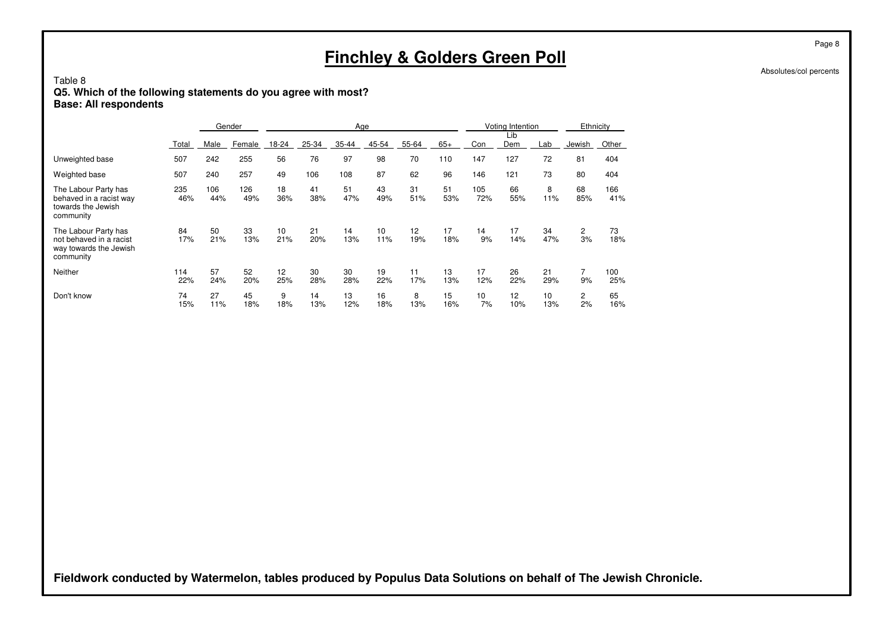## Table 8**Q5. Which of the following statements do you agree with most? Base: All respondents**

|                                                                                        |            |            | Gender     |           |           | Age       |           |           |           |            | Voting Intention |           | Ethnicity            |            |
|----------------------------------------------------------------------------------------|------------|------------|------------|-----------|-----------|-----------|-----------|-----------|-----------|------------|------------------|-----------|----------------------|------------|
|                                                                                        | Total      | Male       | Female     | 18-24     | 25-34     | 35-44     | 45-54     | 55-64     | $65+$     | Con        | Lib<br>Dem       | Lab       | Jewish               | Other      |
| Unweighted base                                                                        | 507        | 242        | 255        | 56        | 76        | 97        | 98        | 70        | 110       | 147        | 127              | 72        | 81                   | 404        |
| Weighted base                                                                          | 507        | 240        | 257        | 49        | 106       | 108       | 87        | 62        | 96        | 146        | 121              | 73        | 80                   | 404        |
| The Labour Party has<br>behaved in a racist way<br>towards the Jewish<br>community     | 235<br>46% | 106<br>44% | 126<br>49% | 18<br>36% | 41<br>38% | 51<br>47% | 43<br>49% | 31<br>51% | 51<br>53% | 105<br>72% | 66<br>55%        | 8<br>11%  | 68<br>85%            | 166<br>41% |
| The Labour Party has<br>not behaved in a racist<br>way towards the Jewish<br>community | 84<br>17%  | 50<br>21%  | 33<br>13%  | 10<br>21% | 21<br>20% | 14<br>13% | 10<br>11% | 12<br>19% | 17<br>18% | 14<br>9%   | 17<br>14%        | 34<br>47% | $\overline{2}$<br>3% | 73<br>18%  |
| Neither                                                                                | 114<br>22% | 57<br>24%  | 52<br>20%  | 12<br>25% | 30<br>28% | 30<br>28% | 19<br>22% | 11<br>17% | 13<br>13% | 17<br>12%  | 26<br>22%        | 21<br>29% | 7<br>9%              | 100<br>25% |
| Don't know                                                                             | 74<br>15%  | 27<br>11%  | 45<br>18%  | 9<br>18%  | 14<br>13% | 13<br>12% | 16<br>18% | 8<br>13%  | 15<br>16% | 10<br>7%   | 12<br>10%        | 10<br>13% | $\overline{2}$<br>2% | 65<br>16%  |

**Fieldwork conducted by Watermelon, tables produced by Populus Data Solutions on behalf of The Jewish Chronicle.**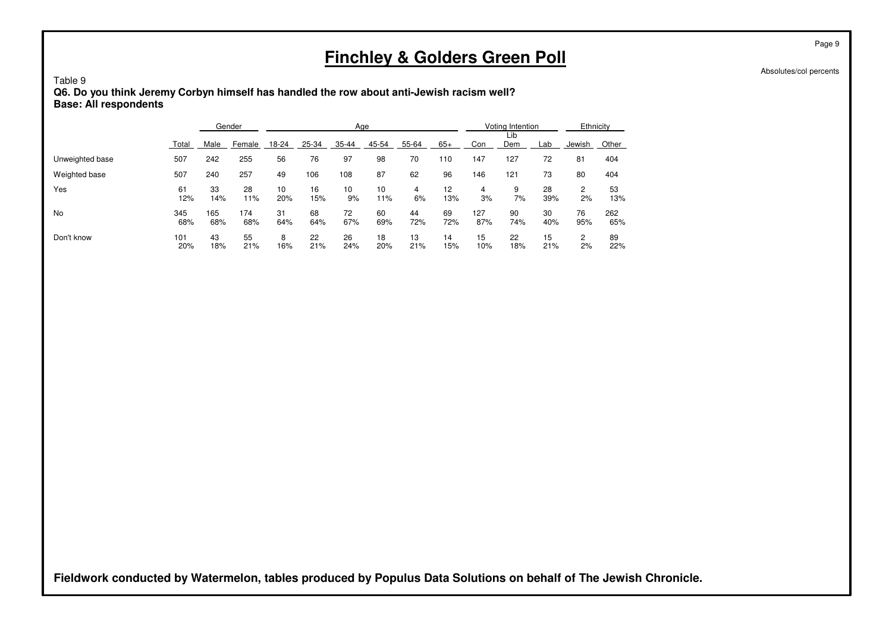Absolutes/col percents

#### Table 9 **Q6. Do you think Jeremy Corbyn himself has handled the row about anti-Jewish racism well?Base: All respondents**

|                 |            |            | Gender     |           |           | Age       |           |           |           |            | Voting Intention |           | Ethnicity |            |
|-----------------|------------|------------|------------|-----------|-----------|-----------|-----------|-----------|-----------|------------|------------------|-----------|-----------|------------|
|                 | Total      | Male       | Female     | 18-24     | 25-34     | $35 - 44$ | 45-54     | 55-64     | $65+$     | Con        | Lib<br>Dem       | Lab       | Jewish    | Other      |
| Unweighted base | 507        | 242        | 255        | 56        | 76        | 97        | 98        | 70        | 110       | 147        | 127              | 72        | 81        | 404        |
| Weighted base   | 507        | 240        | 257        | 49        | 106       | 108       | 87        | 62        | 96        | 146        | 121              | 73        | 80        | 404        |
| Yes             | 61<br>12%  | 33<br>14%  | 28<br>11%  | 10<br>20% | 16<br>15% | 10<br>9%  | 10<br>11% | 4<br>6%   | 12<br>13% | 4<br>3%    | 9<br>7%          | 28<br>39% | 2<br>2%   | 53<br>13%  |
| No              | 345<br>68% | 165<br>68% | 174<br>68% | 31<br>64% | 68<br>64% | 72<br>67% | 60<br>69% | 44<br>72% | 69<br>72% | 127<br>87% | 90<br>74%        | 30<br>40% | 76<br>95% | 262<br>65% |
| Don't know      | 101<br>20% | 43<br>18%  | 55<br>21%  | 8<br>16%  | 22<br>21% | 26<br>24% | 18<br>20% | 13<br>21% | 14<br>15% | 15<br>10%  | 22<br>18%        | 15<br>21% | 2<br>2%   | 89<br>22%  |

**Fieldwork conducted by Watermelon, tables produced by Populus Data Solutions on behalf of The Jewish Chronicle.**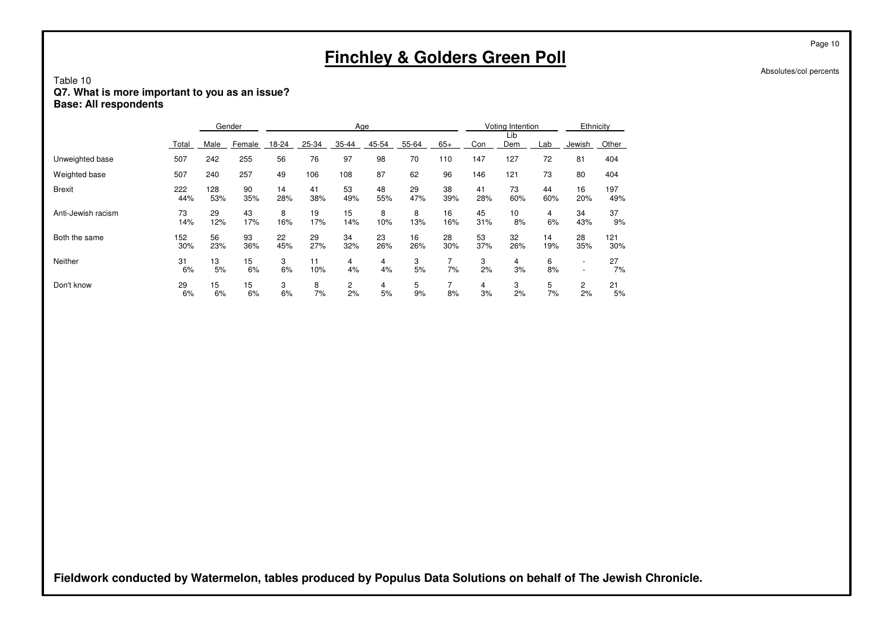## Table 10**Q7. What is more important to you as an issue? Base: All respondents**

|                    |            |            | Gender    |           |           |           | Age       |           |           |           | Voting Intention |           | Ethnicity                |            |
|--------------------|------------|------------|-----------|-----------|-----------|-----------|-----------|-----------|-----------|-----------|------------------|-----------|--------------------------|------------|
|                    | Total      | Male       | Female    | 18-24     | 25-34     | 35-44     | 45-54     | 55-64     | $65+$     | Con       | Lib<br>Dem       | Lab       | Jewish                   | Other      |
| Unweighted base    | 507        | 242        | 255       | 56        | 76        | 97        | 98        | 70        | 110       | 147       | 127              | 72        | 81                       | 404        |
| Weighted base      | 507        | 240        | 257       | 49        | 106       | 108       | 87        | 62        | 96        | 146       | 121              | 73        | 80                       | 404        |
| <b>Brexit</b>      | 222<br>44% | 128<br>53% | 90<br>35% | 14<br>28% | 41<br>38% | 53<br>49% | 48<br>55% | 29<br>47% | 38<br>39% | 41<br>28% | 73<br>60%        | 44<br>60% | 16<br>20%                | 197<br>49% |
| Anti-Jewish racism | 73<br>14%  | 29<br>12%  | 43<br>17% | 8<br>16%  | 19<br>17% | 15<br>14% | 8<br>10%  | 8<br>13%  | 16<br>16% | 45<br>31% | 10<br>8%         | 4<br>6%   | 34<br>43%                | 37<br>9%   |
| Both the same      | 152<br>30% | 56<br>23%  | 93<br>36% | 22<br>45% | 29<br>27% | 34<br>32% | 23<br>26% | 16<br>26% | 28<br>30% | 53<br>37% | 32<br>26%        | 14<br>19% | 28<br>35%                | 121<br>30% |
| Neither            | 31<br>6%   | 13<br>5%   | 15<br>6%  | 3<br>6%   | 11<br>10% | 4<br>4%   | 4<br>4%   | 3<br>5%   | 7%        | 3<br>2%   | 4<br>3%          | 6<br>8%   | $\overline{\phantom{a}}$ | 27<br>7%   |
| Don't know         | 29<br>6%   | 15<br>6%   | 15<br>6%  | 3<br>6%   | 8<br>7%   | 2<br>2%   | 4<br>5%   | 5<br>9%   | 8%        | 4<br>3%   | 3<br>2%          | 5<br>7%   | $\mathbf{2}$<br>2%       | 21<br>5%   |

**Fieldwork conducted by Watermelon, tables produced by Populus Data Solutions on behalf of The Jewish Chronicle.**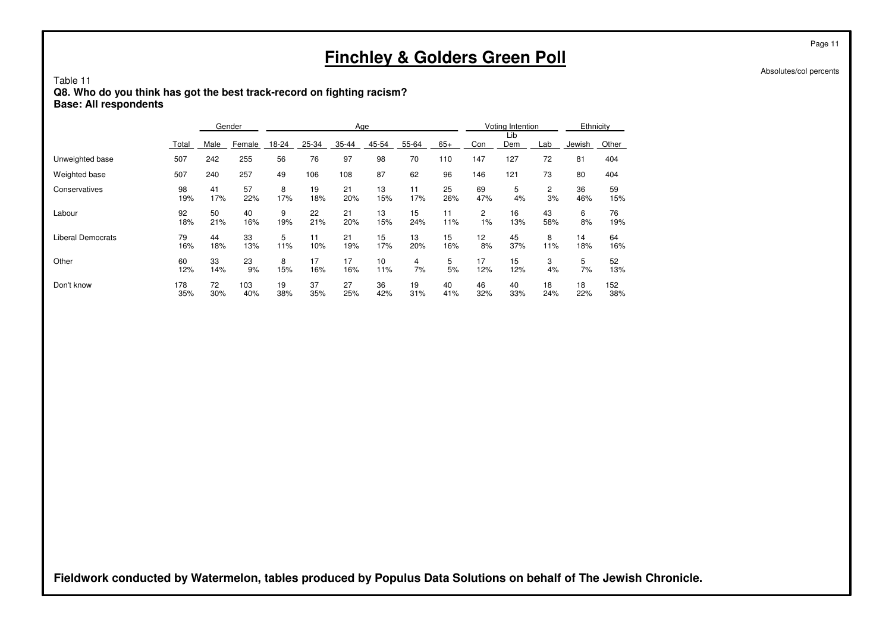Table 11**Q8. Who do you think has got the best track-record on fighting racism? Base: All respondents**

|                   |       |      | Gender |       |       | Age   |       |       |       |     | Voting Intention |     | Ethnicity |       |
|-------------------|-------|------|--------|-------|-------|-------|-------|-------|-------|-----|------------------|-----|-----------|-------|
|                   | Total | Male | Female | 18-24 | 25-34 | 35-44 | 45-54 | 55-64 | $65+$ | Con | Lib<br>Dem       | Lab | Jewish    | Other |
| Unweighted base   | 507   | 242  | 255    | 56    | 76    | 97    | 98    | 70    | 110   | 147 | 127              | 72  | 81        | 404   |
| Weighted base     | 507   | 240  | 257    | 49    | 106   | 108   | 87    | 62    | 96    | 146 | 121              | 73  | 80        | 404   |
| Conservatives     | 98    | 41   | 57     | 8     | 19    | 21    | 13    | 11    | 25    | 69  | 5                | 2   | 36        | 59    |
|                   | 19%   | 17%  | 22%    | 17%   | 18%   | 20%   | 15%   | 17%   | 26%   | 47% | 4%               | 3%  | 46%       | 15%   |
| Labour            | 92    | 50   | 40     | 9     | 22    | 21    | 13    | 15    | 11    | 2   | 16               | 43  | 6         | 76    |
|                   | 18%   | 21%  | 16%    | 19%   | 21%   | 20%   | 15%   | 24%   | 11%   | 1%  | 13%              | 58% | 8%        | 19%   |
| Liberal Democrats | 79    | 44   | 33     | 5     | 11    | 21    | 15    | 13    | 15    | 12  | 45               | 8   | 14        | 64    |
|                   | 16%   | 18%  | 13%    | 11%   | 10%   | 19%   | 17%   | 20%   | 16%   | 8%  | 37%              | 11% | 18%       | 16%   |
| Other             | 60    | 33   | 23     | 8     | 17    | 17    | 10    | 4     | 5     | 17  | 15               | 3   | 5         | 52    |
|                   | 12%   | 14%  | 9%     | 15%   | 16%   | 16%   | 11%   | 7%    | 5%    | 12% | 12%              | 4%  | 7%        | 13%   |
| Don't know        | 178   | 72   | 103    | 19    | 37    | 27    | 36    | 19    | 40    | 46  | 40               | 18  | 18        | 152   |
|                   | 35%   | 30%  | 40%    | 38%   | 35%   | 25%   | 42%   | 31%   | 41%   | 32% | 33%              | 24% | 22%       | 38%   |

**Fieldwork conducted by Watermelon, tables produced by Populus Data Solutions on behalf of The Jewish Chronicle.**

Page 11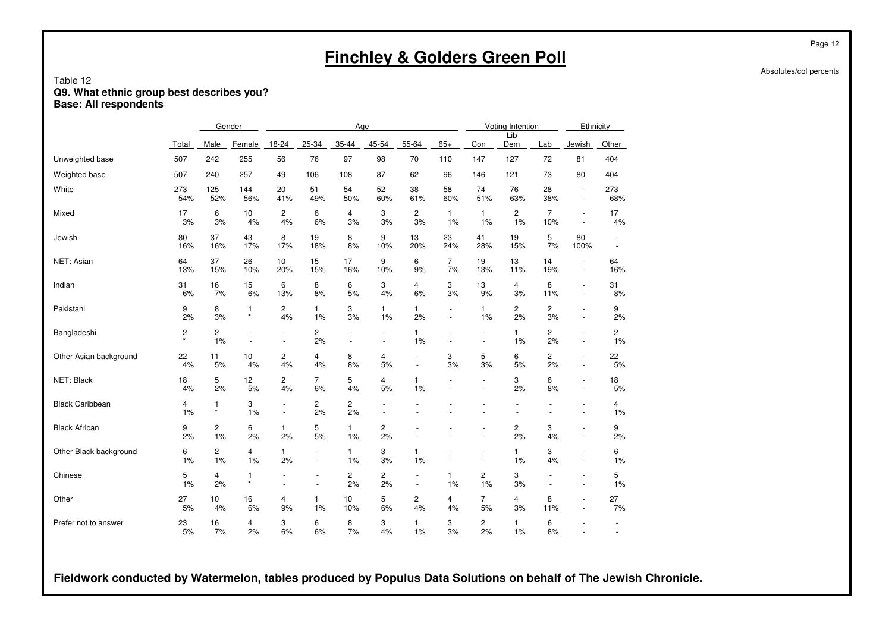|                                                                                       |                         |                         |                      |                                      |                          |                             |                      | <b>Finchley &amp; Golders Green Poll</b> |                                    |                                            |                             |                       |                                                      |                |
|---------------------------------------------------------------------------------------|-------------------------|-------------------------|----------------------|--------------------------------------|--------------------------|-----------------------------|----------------------|------------------------------------------|------------------------------------|--------------------------------------------|-----------------------------|-----------------------|------------------------------------------------------|----------------|
| Table 12<br>Q9. What ethnic group best describes you?<br><b>Base: All respondents</b> |                         |                         |                      |                                      |                          |                             |                      |                                          |                                    |                                            |                             |                       |                                                      |                |
|                                                                                       |                         |                         | Gender               |                                      |                          | Age                         |                      |                                          |                                    |                                            | Voting Intention<br>Lib     |                       |                                                      | Ethnicity      |
|                                                                                       | Total                   | Male                    | Female               | $18-24$                              | $25 - 34$                | $35 - 44$                   | $45 - 54$            | $55 - 64$                                | $65+$                              | Con                                        | Dem                         | Lab                   | Jewish                                               | Other          |
| Unweighted base                                                                       | 507                     | 242                     | 255                  | 56                                   | 76                       | 97                          | 98                   | 70                                       | 110                                | 147                                        | 127                         | 72                    | 81                                                   | 404            |
| Weighted base                                                                         | 507                     | 240                     | 257                  | 49                                   | 106                      | 108                         | 87                   | 62                                       | 96                                 | 146                                        | 121                         | 73                    | 80                                                   | 404            |
| White                                                                                 | 273<br>54%              | 125<br>52%              | 144<br>56%           | 20<br>41%                            | 51<br>49%                | 54<br>50%                   | 52<br>60%            | 38<br>61%                                | 58<br>60%                          | 74<br>51%                                  | 76<br>63%                   | 28<br>38%             | $\overline{\phantom{a}}$<br>$\overline{\phantom{a}}$ | 273<br>68%     |
| Mixed                                                                                 | 17<br>3%                | 6<br>3%                 | 10<br>4%             | $\overline{2}$<br>4%                 | 6<br>6%                  | 4<br>3%                     | 3<br>3%              | $\mathbf{2}$<br>3%                       | $\mathbf{1}$<br>1%                 | $\mathbf{1}$<br>1%                         | $\mathbf{2}^{\prime}$<br>1% | $\overline{7}$<br>10% | $\overline{\phantom{a}}$<br>$\overline{\phantom{a}}$ | 17<br>4%       |
| Jewish                                                                                | 80<br>16%               | 37<br>16%               | 43<br>17%            | 8<br>17%                             | 19<br>18%                | 8<br>8%                     | 9<br>10%             | 13<br>20%                                | 23<br>24%                          | 41<br>28%                                  | 19<br>15%                   | 5<br>7%               | 80<br>100%                                           | $\blacksquare$ |
| NET: Asian                                                                            | 64<br>13%               | 37<br>15%               | 26<br>10%            | 10 <sup>10</sup><br>20%              | 15<br>15%                | 17<br>16%                   | 9<br>10%             | 6<br>9%                                  | $\overline{7}$<br>7%               | 19<br>13%                                  | 13<br>11%                   | 14<br>19%             | $\blacksquare$<br>$\blacksquare$                     | 64<br>16%      |
| Indian                                                                                | 31<br>6%                | 16<br>7%                | 15<br>6%             | 6<br>13%                             | 8<br>8%                  | 6<br>5%                     | 3<br>4%              | 4<br>6%                                  | 3<br>3%                            | 13<br>9%                                   | 4<br>3%                     | 8<br>11%              | $\overline{\phantom{a}}$<br>$\overline{\phantom{a}}$ | 31<br>8%       |
| Pakistani                                                                             | 9<br>2%                 | 8<br>$3%$               | 1<br>$\star$         | $\overline{c}$<br>4%                 | $\mathbf{1}$<br>1%       | 3<br>3%                     | $\mathbf{1}$<br>1%   | 1.<br>2%                                 | $\overline{\phantom{a}}$<br>$\sim$ | $\mathbf{1}$<br>1%                         | $\overline{c}$<br>2%        | $\overline{c}$<br>3%  | $\sim$<br>$\overline{\phantom{a}}$                   | 9<br>2%        |
| Bangladeshi                                                                           | $\overline{\mathbf{c}}$ | $\mathbf{2}$<br>1%      | $\sim$               | $\overline{\phantom{a}}$<br>$\sim$   | $\overline{c}$<br>2%     | $\sim$                      | $\sim$               | 1.<br>1%                                 | $\sim$                             | $\sim$                                     | $\mathbf{1}$<br>1%          | $\overline{2}$<br>2%  | $\overline{\phantom{a}}$<br>$\sim$                   | 2<br>1%        |
| Other Asian background                                                                | 22<br>4%                | 11<br>5%                | 10<br>4%             | $\overline{c}$<br>4%                 | 4<br>4%                  | 8<br>8%                     | 4<br>5%              | $\sim$                                   | 3<br>3%                            | 5<br>3%                                    | 6<br>5%                     | $\overline{2}$<br>2%  | $\sim$<br>$\sim$                                     | 22<br>5%       |
| NET: Black                                                                            | 18<br>4%                | 5<br>2%                 | 12<br>5%             | $\mathbf{2}$<br>4%                   | $\overline{7}$<br>6%     | 5<br>4%                     | 4<br>5%              | 1<br>1%                                  |                                    | $\overline{\phantom{a}}$<br>÷,             | 3<br>2%                     | 6<br>8%               | $\sim$<br>$\sim$                                     | 18<br>5%       |
| <b>Black Caribbean</b>                                                                | 4<br>1%                 | $\mathbf{1}$<br>$\star$ | 3<br>1%              | $\overline{\phantom{a}}$<br>$\omega$ | $\overline{c}$<br>2%     | $\mathbf{2}^{\prime}$<br>2% | $\sim$               |                                          |                                    |                                            |                             |                       | $\sim$                                               | 4<br>1%        |
| <b>Black African</b>                                                                  | 9<br>2%                 | $\mathbf{2}$<br>1%      | 6<br>2%              | $\mathbf{1}$<br>2%                   | 5<br>$5%$                | $\mathbf{1}$<br>1%          | $\overline{c}$<br>2% |                                          |                                    |                                            | $\overline{c}$<br>2%        | 3<br>4%               | $\overline{\phantom{a}}$<br>÷,                       | 9<br>2%        |
| Other Black background                                                                | 6<br>1%                 | $\overline{2}$<br>1%    | $\overline{4}$<br>1% | $\mathbf{1}$<br>2%                   | $\blacksquare$<br>$\sim$ | $\mathbf{1}$<br>1%          | 3<br>3%              | 1<br>1%                                  | $\sim$                             | $\overline{\phantom{a}}$<br>$\blacksquare$ | $\mathbf{1}$<br>1%          | 3<br>4%               | $\overline{\phantom{a}}$<br>$\sim$                   | 6<br>1%        |
| Chinese                                                                               | 5<br>1%                 | $\overline{4}$<br>2%    | 1<br>$\star$         |                                      | $\blacksquare$           | $\overline{c}$<br>2%        | $\overline{c}$<br>2% | $\blacksquare$                           | 1<br>1%                            | $\overline{c}$<br>1%                       | 3<br>3%                     | $\blacksquare$        | $\overline{\phantom{a}}$<br>÷,                       | 5<br>1%        |
| Other                                                                                 | 27<br>5%                | 10<br>4%                | 16<br>6%             | 4<br>9%                              | $\mathbf{1}$<br>$1\%$    | 10<br>10%                   | 5<br>6%              | $\overline{c}$<br>4%                     | 4<br>4%                            | $\overline{7}$<br>5%                       | 4<br>3%                     | 8<br>11%              | $\overline{\phantom{a}}$<br>$\overline{\phantom{a}}$ | 27<br>7%       |
| Prefer not to answer                                                                  | 23<br>5%                | 16<br>7%                | 4<br>2%              | 3<br>6%                              | 6<br>6%                  | 8<br>7%                     | 3<br>4%              | 1<br>$1\%$                               | 3<br>3%                            | $\overline{c}$<br>2%                       | $\mathbf{1}$<br>1%          | 6<br>8%               | ÷,                                                   |                |

**Fieldwork conducted by Watermelon, tables produced by Populus Data Solutions on behalf of The Jewish Chronicle.**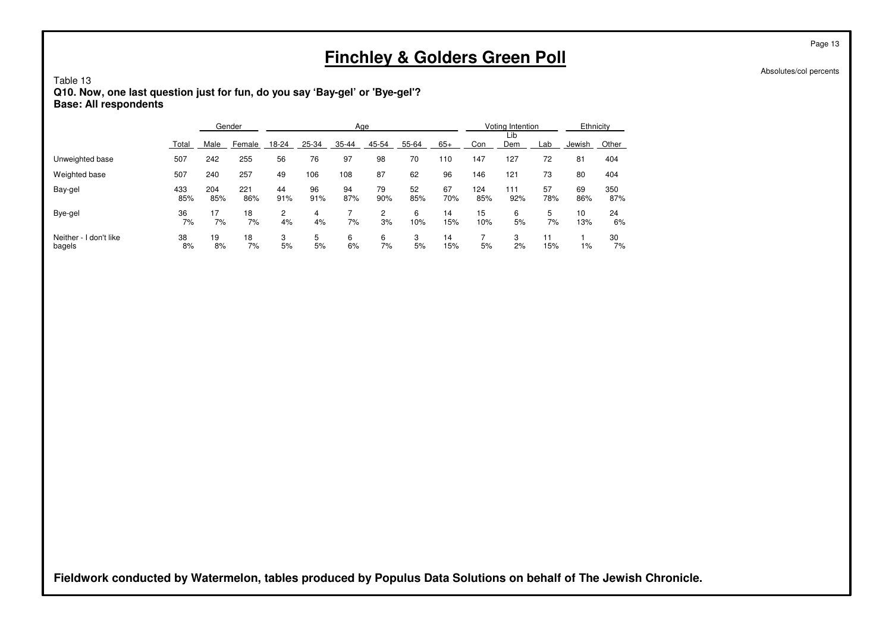Table 13**Q10. Now, one last question just for fun, do you say 'Bay-gel' or 'Bye-gel'? Base: All respondents**

|                                  |            | Gender     |            | Age       |           |           |           |           |           |            | Voting Intention |           |           | Ethnicity  |  |
|----------------------------------|------------|------------|------------|-----------|-----------|-----------|-----------|-----------|-----------|------------|------------------|-----------|-----------|------------|--|
|                                  | Total      | Male       | Female     | 18-24     | 25-34     | 35-44     | 45-54     | 55-64     | $65+$     | Con        | Lib<br>Dem       | Lab       | Jewish    | Other      |  |
| Unweighted base                  | 507        | 242        | 255        | 56        | 76        | 97        | 98        | 70        | 110       | 147        | 127              | 72        | 81        | 404        |  |
| Weighted base                    | 507        | 240        | 257        | 49        | 106       | 108       | 87        | 62        | 96        | 146        | 121              | 73        | 80        | 404        |  |
| Bay-gel                          | 433<br>85% | 204<br>85% | 221<br>86% | 44<br>91% | 96<br>91% | 94<br>87% | 79<br>90% | 52<br>85% | 67<br>70% | 124<br>85% | 111<br>92%       | 57<br>78% | 69<br>86% | 350<br>87% |  |
| Bye-gel                          | 36<br>7%   | 17<br>7%   | 18<br>7%   | 2<br>4%   | 4<br>4%   | 7%        | 2<br>3%   | 6<br>10%  | 14<br>15% | 15<br>10%  | 6<br>5%          | 5<br>7%   | 10<br>13% | 24<br>6%   |  |
| Neither - I don't like<br>bagels | 38<br>8%   | 19<br>8%   | 18<br>7%   | 3<br>5%   | 5<br>5%   | 6<br>6%   | 6<br>7%   | 3<br>5%   | 14<br>15% | 5%         | 3<br>2%          | 11<br>15% | 1%        | 30<br>7%   |  |

**Fieldwork conducted by Watermelon, tables produced by Populus Data Solutions on behalf of The Jewish Chronicle.**

Page 13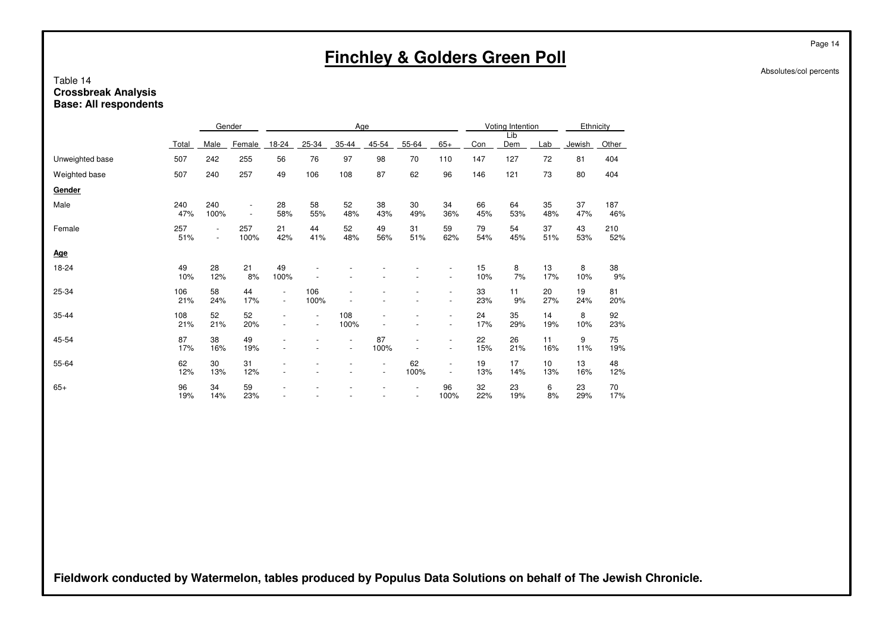## Table 14**Crossbreak Analysis Base: All respondents**

|                 |            |                                            | Gender                                               | Age                                                  |                                    |                                                      |                                            |            |                                                      |           | Voting Intention |                         |           | Ethnicity  |  |
|-----------------|------------|--------------------------------------------|------------------------------------------------------|------------------------------------------------------|------------------------------------|------------------------------------------------------|--------------------------------------------|------------|------------------------------------------------------|-----------|------------------|-------------------------|-----------|------------|--|
|                 | Total      | Male                                       | Female                                               | 18-24                                                | 25-34                              | 35-44                                                | 45-54                                      | 55-64      | $65+$                                                | Con       | Lib<br>Dem       | Lab                     | Jewish    | Other      |  |
| Unweighted base | 507        | 242                                        | 255                                                  | 56                                                   | 76                                 | 97                                                   | 98                                         | 70         | 110                                                  | 147       | 127              | 72                      | 81        | 404        |  |
| Weighted base   | 507        | 240                                        | 257                                                  | 49                                                   | 106                                | 108                                                  | 87                                         | 62         | 96                                                   | 146       | 121              | 73                      | 80        | 404        |  |
| Gender          |            |                                            |                                                      |                                                      |                                    |                                                      |                                            |            |                                                      |           |                  |                         |           |            |  |
| Male            | 240<br>47% | 240<br>100%                                | $\overline{\phantom{a}}$<br>$\overline{\phantom{a}}$ | 28<br>58%                                            | 58<br>55%                          | 52<br>48%                                            | 38<br>43%                                  | 30<br>49%  | 34<br>36%                                            | 66<br>45% | 64<br>53%        | 35<br>48%               | 37<br>47% | 187<br>46% |  |
| Female          | 257<br>51% | $\overline{\phantom{a}}$<br>$\blacksquare$ | 257<br>100%                                          | 21<br>42%                                            | 44<br>41%                          | 52<br>48%                                            | 49<br>56%                                  | 31<br>51%  | 59<br>62%                                            | 79<br>54% | 54<br>45%        | 37<br>51%               | 43<br>53% | 210<br>52% |  |
| <b>Age</b>      |            |                                            |                                                      |                                                      |                                    |                                                      |                                            |            |                                                      |           |                  |                         |           |            |  |
| 18-24           | 49<br>10%  | 28<br>12%                                  | 21<br>8%                                             | 49<br>100%                                           |                                    |                                                      |                                            |            | $\overline{\phantom{a}}$<br>$\overline{\phantom{a}}$ | 15<br>10% | 8<br>7%          | 13<br>17%               | 8<br>10%  | 38<br>9%   |  |
| 25-34           | 106<br>21% | 58<br>24%                                  | 44<br>17%                                            | $\overline{\phantom{a}}$<br>$\overline{\phantom{a}}$ | 106<br>100%                        |                                                      |                                            |            | $\overline{\phantom{a}}$                             | 33<br>23% | 11<br>9%         | 20<br>27%               | 19<br>24% | 81<br>20%  |  |
| 35-44           | 108<br>21% | 52<br>21%                                  | 52<br>20%                                            | $\overline{\phantom{a}}$<br>$\overline{\phantom{a}}$ | $\overline{\phantom{a}}$<br>$\sim$ | 108<br>100%                                          | $\overline{\phantom{a}}$                   |            | $\overline{\phantom{a}}$<br>$\overline{\phantom{a}}$ | 24<br>17% | 35<br>29%        | 14<br>19%               | 8<br>10%  | 92<br>23%  |  |
| 45-54           | 87<br>17%  | 38<br>16%                                  | 49<br>19%                                            |                                                      |                                    | $\overline{\phantom{a}}$<br>$\overline{\phantom{a}}$ | 87<br>100%                                 |            | ٠<br>$\overline{\phantom{a}}$                        | 22<br>15% | 26<br>21%        | 11<br>16%               | 9<br>11%  | 75<br>19%  |  |
| 55-64           | 62<br>12%  | 30<br>13%                                  | 31<br>12%                                            |                                                      |                                    | $\overline{\phantom{a}}$                             | $\overline{\phantom{a}}$<br>$\blacksquare$ | 62<br>100% | $\overline{\phantom{a}}$<br>$\overline{a}$           | 19<br>13% | 17<br>14%        | 10 <sup>10</sup><br>13% | 13<br>16% | 48<br>12%  |  |
| $65+$           | 96<br>19%  | 34<br>14%                                  | 59<br>23%                                            |                                                      |                                    |                                                      |                                            |            | 96<br>100%                                           | 32<br>22% | 23<br>19%        | 6<br>8%                 | 23<br>29% | 70<br>17%  |  |

**Fieldwork conducted by Watermelon, tables produced by Populus Data Solutions on behalf of The Jewish Chronicle.**

Page 14